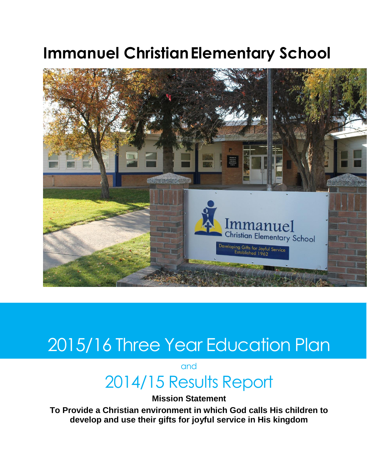# **Immanuel ChristianElementary School**



# 2015/16 Three Year Education Plan

and

# 2014/15 Results Report

**Mission Statement** 

**To Provide a Christian environment in which God calls His children to develop and use their gifts for joyful service in His kingdom**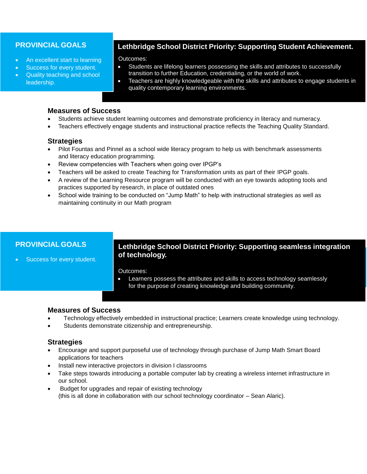#### **PROVINCIAL GOALS**

- An excellent start to learning
- Success for every student.
- Quality teaching and school leadership.

# **Lethbridge School District Priority: Supporting Student Achievement.**

Outcomes:

- Students are lifelong learners possessing the skills and attributes to successfully transition to further Education, credentialing, or the world of work.
- Teachers are highly knowledgeable with the skills and attributes to engage students in quality contemporary learning environments.

#### **Measures of Success**

- Students achieve student learning outcomes and demonstrate proficiency in literacy and numeracy.
- Teachers effectively engage students and instructional practice reflects the Teaching Quality Standard.

#### **Strategies**

- Pilot Fountas and Pinnel as a school wide literacy program to help us with benchmark assessments and literacy education programming.
- Review competencies with Teachers when going over IPGP's
- Teachers will be asked to create Teaching for Transformation units as part of their IPGP goals.
- A review of the Learning Resource program will be conducted with an eye towards adopting tools and practices supported by research, in place of outdated ones
- School wide training to be conducted on "Jump Math" to help with instructional strategies as well as maintaining continuity in our Math program

# **PROVINCIAL GOALS**

Success for every student.

### **Lethbridge School District Priority: Supporting seamless integration of technology.**

Outcomes:

 Learners possess the attributes and skills to access technology seamlessly for the purpose of creating knowledge and building community.

#### **Measures of Success**

- Technology effectively embedded in instructional practice; Learners create knowledge using technology.
- Students demonstrate citizenship and entrepreneurship.

#### **Strategies**

- Encourage and support purposeful use of technology through purchase of Jump Math Smart Board applications for teachers
- Install new interactive projectors in division I classrooms
- Take steps towards introducing a portable computer lab by creating a wireless internet infrastructure in our school.
- Budget for upgrades and repair of existing technology (this is all done in collaboration with our school technology coordinator – Sean Alaric).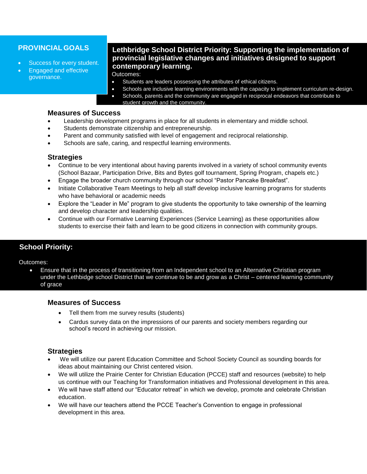## **PROVINCIAL GOALS**

- Success for every student.  $\begin{bmatrix} \mathbf{p} & \mathbf{p} \\ \mathbf{p} & \mathbf{p} \end{bmatrix}$
- Engaged and effective governance.

# **Lethbridge School District Priority: Supporting the implementation of provincial legislative changes and initiatives designed to support contemporary learning.**

Outcomes:

- Students are leaders possessing the attributes of ethical citizens.
- Schools are inclusive learning environments with the capacity to implement curriculum re-design.
- Schools, parents and the community are engaged in reciprocal endeavors that contribute to student growth and the community.

### **Measures of Success**

- Leadership development programs in place for all students in elementary and middle school.
- Students demonstrate citizenship and entrepreneurship.
- Parent and community satisfied with level of engagement and reciprocal relationship.
- Schools are safe, caring, and respectful learning environments.

#### $\tau$ effectively engage studients and instructional practice reflects the Teaching  $\tau$ **Strategies**

- Continue to be very intentional about having parents involved in a variety of school community events (School Bazaar, Participation Drive, Bits and Bytes golf tournament, Spring Program, chapels etc.)
- Engage the broader church community through our school "Pastor Pancake Breakfast".
- Initiate Collaborative Team Meetings to help all staff develop inclusive learning programs for students who have behavioral or academic needs
- Explore the "Leader in Me" program to give students the opportunity to take ownership of the learning and develop character and leadership qualities.
- Continue with our Formative Learning Experiences (Service Learning) as these opportunities allow students to exercise their faith and learn to be good citizens in connection with community groups.

### **School Priority:**

Outcomes:

 Ensure that in the process of transitioning from an Independent school to an Alternative Christian program under the Lethbidge school District that we continue to be and grow as a Christ – centered learning community of grace

#### **Measures of Success**

- Tell them from me survey results (students)
- Cardus survey data on the impressions of our parents and society members regarding our school's record in achieving our mission.

#### **Strategies**

- We will utilize our parent Education Committee and School Society Council as sounding boards for ideas about maintaining our Christ centered vision.
- We will utilize the Prairie Center for Christian Education (PCCE) staff and resources (website) to help us continue with our Teaching for Transformation initiatives and Professional development in this area.
- We will have staff attend our "Educator retreat" in which we develop, promote and celebrate Christian education.
- We will have our teachers attend the PCCE Teacher's Convention to engage in professional development in this area.